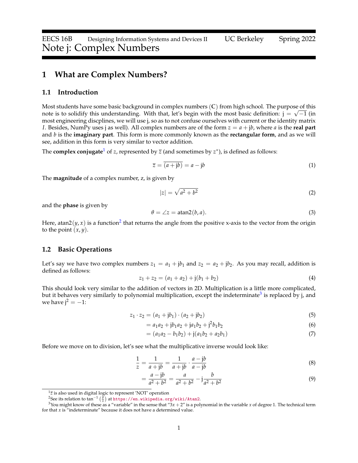## **1 What are Complex Numbers?**

#### **1.1 Introduction**

Most students have some basic background in complex numbers (**C**) from high school. The purpose of this note is to solidify this understanding. With that, let's begin with the most basic definition:  $\mathfrak{j}=\sqrt{-1}$  (in most engineering discplines, we will use j, so as to not confuse ourselves with current or the identity matrix *I*. Besides, NumPy uses j as well). All complex numbers are of the form *z* = *a* + j*b*, where *a* is the **real part** and *b* is the **imaginary part**. This form is more commonly known as the **rectangular form**, and as we will see, addition in this form is very similar to vector addition.

The  $\mathbf{complex\ conjugate}^1$  $\mathbf{complex\ conjugate}^1$  of  $z$ , represented by  $\overline{z}$  (and sometimes by  $z^*$ ), is defined as follows:

$$
\overline{z} = \overline{(a + jb)} = a - jb \tag{1}
$$

The **magnitude** of a complex number, z, is given by

$$
|z| = \sqrt{a^2 + b^2} \tag{2}
$$

and the **phase** is given by

$$
\theta = \angle z = \text{atan2}(b, a). \tag{3}
$$

Here, atan[2](#page-0-1) $(y, x)$  is a function<sup>2</sup> that returns the angle from the positive x-axis to the vector from the origin to the point  $(x, y)$ .

#### **1.2 Basic Operations**

Let's say we have two complex numbers  $z_1 = a_1 + jb_1$  and  $z_2 = a_2 + jb_2$ . As you may recall, addition is defined as follows:

$$
z_1 + z_2 = (a_1 + a_2) + j(b_1 + b_2)
$$
\n(4)

This should look very similar to the addition of vectors in 2D. Multiplication is a little more complicated, but it behaves very similarly to polynomial multiplication, except the indeterminate<sup>[3](#page-0-2)</sup> is replaced by j, and we have  $j^2 = -1$ :

$$
z_1 \cdot z_2 = (a_1 + jb_1) \cdot (a_2 + jb_2) \tag{5}
$$

$$
= a_1 a_2 + j b_1 a_2 + j a_1 b_2 + j^2 b_1 b_2 \tag{6}
$$

<span id="page-0-4"></span><span id="page-0-3"></span>
$$
= (a_1a_2 - b_1b_2) + j(a_1b_2 + a_2b_1)
$$
\n(7)

Before we move on to division, let's see what the multiplicative inverse would look like:

$$
\frac{1}{z} = \frac{1}{a+jb} = \frac{1}{a+jb} \cdot \frac{a-jb}{a-jb} \tag{8}
$$

$$
= \frac{a - jb}{a^2 + b^2} = \frac{a}{a^2 + b^2} - j\frac{b}{a^2 + b^2}
$$
(9)

<span id="page-0-0"></span> $1\overline{z}$  is also used in digital logic to represent 'NOT' operation

<span id="page-0-2"></span><span id="page-0-1"></span><sup>&</sup>lt;sup>2</sup>See its relation to tan<sup>−1</sup> ( $\frac{y}{x}$ ) at <https://en.wikipedia.org/wiki/Atan2>.

<sup>&</sup>lt;sup>3</sup>You might know of these as a "variable" in the sense that " $3x + 2$ " is a polynomial in the variable *x* of degree 1. The technical term for that *x* is "indeterminate" because it does not have a determined value.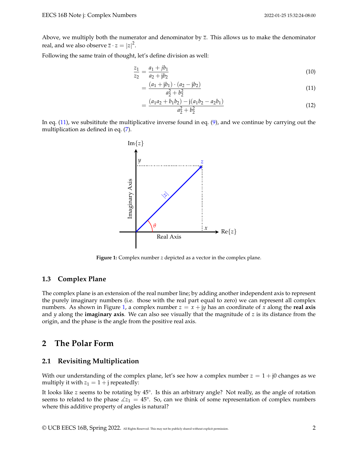Above, we multiply both the numerator and denominator by  $\overline{z}$ . This allows us to make the denominator real, and we also observe  $\overline{z} \cdot z = |z|^2$ .

Following the same train of thought, let's define division as well:

$$
\frac{z_1}{z_2} = \frac{a_1 + jb_1}{a_2 + jb_2} \tag{10}
$$

$$
=\frac{(a_1+\mathrm{j}b_1)\cdot(a_2-\mathrm{j}b_2)}{a_2^2+b_2^2}
$$
\n(11)

<span id="page-1-0"></span>
$$
=\frac{(a_1a_2+b_1b_2)-j(a_1b_2-a_2b_1)}{a_2^2+b_2^2}
$$
\n(12)

<span id="page-1-1"></span>In eq. [\(11\)](#page-1-0), we subsititute the multiplicative inverse found in eq. [\(9\)](#page-0-3), and we continue by carrying out the multiplication as defined in eq. [\(7\)](#page-0-4).



**Figure 1:** Complex number *z* depicted as a vector in the complex plane.

## **1.3 Complex Plane**

The complex plane is an extension of the real number line; by adding another independent axis to represent the purely imaginary numbers (i.e. those with the real part equal to zero) we can represent all complex numbers. As shown in Figure [1,](#page-1-1) a complex number  $z = x + jy$  has an coordinate of x along the **real axis** and *y* along the **imaginary axis**. We can also see visually that the magnitude of *z* is its distance from the origin, and the phase is the angle from the positive real axis.

## **2 The Polar Form**

## **2.1 Revisiting Multiplication**

With our understanding of the complex plane, let's see how a complex number  $z = 1 + j0$  changes as we multiply it with  $z_1 = 1 + j$  repeatedly:

It looks like *z* seems to be rotating by 45°. Is this an arbitrary angle? Not really, as the angle of rotation seems to related to the phase  $\angle z_1 = 45^{\circ}$ . So, can we think of some representation of complex numbers where this additive property of angles is natural?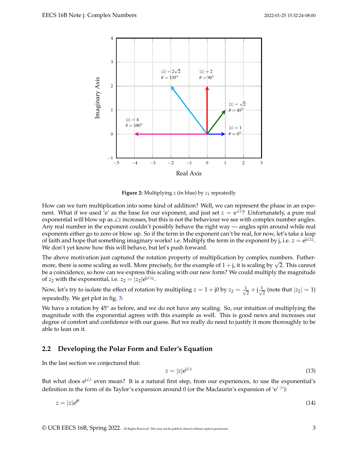

**Figure 2:** Multiplying *z* (in blue) by *z*<sup>1</sup> repeatedly

How can we turn multiplication into some kind of addition? Well, we can represent the phase in an exponent. What if we used <sup>'</sup>e' as the base for our exponent, and just set  $z = e^{\angle z}$ ? Unfortunately, a pure real exponential will blow up as  $\angle z$  increases, but this is not the behaviour we see with complex number angles. Any real number in the exponent couldn't possibly behave the right way — angles spin around while real exponents either go to zero or blow up. So if the term in the exponent can't be real, for now, let's take a leap of faith and hope that something imaginary works! i.e. Multiply the term in the exponent by j, i.e.  $z = e^{j\angle z_2}$ . We don't yet know how this will behave, but let's push forward.

The above motivation just captured the rotation property of multiplication by complex numbers. Futher-The above motivation just captured the rotation property or multiplication by complex numbers. Futner-<br>more, there is some scaling as well. More precisely, for the example of  $1 + j$ , it is scaling by  $\sqrt{2}$ . This cannot be a coincidence, so how can we express this scaling with our new form? We could multiply the magnitude of *z*<sub>2</sub> with the exponential, i.e.  $z_2 = |z_2|e^{j\measuredangle z_2}$ .

Now, let's try to isolate the effect of rotation by multipling  $z = 1 + j0$  by  $z_2 = \frac{1}{\sqrt{2}}$  $\frac{1}{2} + j\frac{1}{\sqrt{2}}$  $\frac{1}{2}$  (note that  $|z_2|=1$ ) repeatedly. We get plot in fig. [3:](#page-3-0)

We have a rotation by  $45^{\circ}$  as before, and we do not have any scaling. So, our intuition of multiplying the magnitude with the exponential agrees with this example as well. This is good news and increases our degree of comfort and confidence with our guess. But we really do need to justify it more thoroughly to be able to lean on it.

## **2.2 Developing the Polar Form and Euler's Equation**

In the last section we conjectured that:

$$
z = |z|e^{j\measuredangle z} \tag{13}
$$

But what does e<sup>j ∠z</sup> even mean? It is a natural first step, from our experiences, to use the exponential's definition in the form of its Taylor's expansion around 0 (or the Maclaurin's expansion of 'e $^{(\cdot)}$ '):

$$
z = |z|e^{j\theta} \tag{14}
$$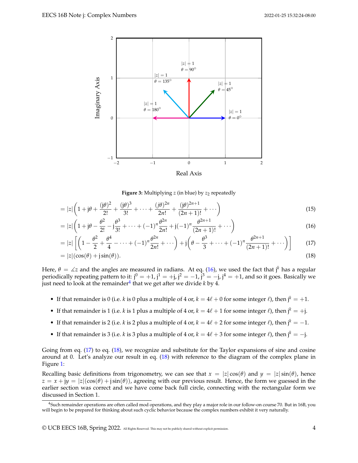<span id="page-3-0"></span>

<span id="page-3-4"></span><span id="page-3-3"></span><span id="page-3-1"></span>**Figure 3:** Multiplying *z* (in blue) by *z*<sub>2</sub> repeatedly

$$
= |z| \left( 1 + j\theta + \frac{(j\theta)^2}{2!} + \frac{(j\theta)^3}{3!} + \dots + \frac{(j\theta)^{2n}}{2n!} + \frac{(j\theta)^{2n+1}}{(2n+1)!} + \dots \right)
$$
\n(15)

$$
= |z| \left( 1 + j\theta - \frac{\theta^2}{2!} - j\frac{\theta^3}{3!} + \dots + (-1)^n \frac{\theta^{2n}}{2n!} + j(-1)^n \frac{\theta^{2n+1}}{(2n+1)!} + \dots \right)
$$
(16)

$$
= |z| \left[ \left( 1 - \frac{\theta^2}{2} + \frac{\theta^4}{4} - \dots + (-1)^n \frac{\theta^{2n}}{2n!} + \dots \right) + j \left( \theta - \frac{\theta^3}{3} + \dots + (-1)^n \frac{\theta^{2n+1}}{(2n+1)!} + \dots \right) \right] \tag{17}
$$

$$
=|z|(\cos(\theta)+j\sin(\theta)).
$$
\n(18)

Here,  $\theta = \measuredangle z$  and the angles are measured in radians. At eq. [\(16\)](#page-3-1), we used the fact that j<sup>k</sup> has a regular periodically repeating pattern to it:  $j^0 = +1$ ,  $j^1 = +j$ ,  $j^2 = -1$ ,  $j^3 = -j$ ,  $j^4 = +1$ , and so it goes. Basically we just need to look at the remainder<sup>[4](#page-3-2)</sup> that we get after we divide *k* by 4.

- If that remainder is 0 (i.e. *k* is 0 plus a multiple of 4 or,  $k = 4\ell + 0$  for some integer  $\ell$ ), then  $j^k = +1$ .
- If that remainder is 1 (i.e. *k* is 1 plus a multiple of 4 or,  $k = 4\ell + 1$  for some integer  $\ell$ ), then  $j^k = +j$ .
- If that remainder is 2 (i.e. *k* is 2 plus a multiple of 4 or,  $k = 4\ell + 2$  for some integer  $\ell$ ), then  $j^k = -1$ .
- If that remainder is 3 (i.e. *k* is 3 plus a multiple of 4 or,  $k = 4\ell + 3$  for some integer  $\ell$ ), then j<sup>k</sup> = -j.

Going from eq. [\(17\)](#page-3-3) to eq. [\(18\)](#page-3-4), we recognize and substitute for the Taylor expansions of sine and cosine around at 0. Let's analyze our result in eq. [\(18\)](#page-3-4) with reference to the diagram of the complex plane in Figure [1:](#page-1-1)

Recalling basic definitions from trigonometry, we can see that  $x = |z| \cos(\theta)$  and  $y = |z| \sin(\theta)$ , hence  $z = x + jy = |z|(\cos(\theta) + j\sin(\theta))$ , agreeing with our previous result. Hence, the form we guessed in the earlier section was correct and we have come back full circle, connecting with the rectangular form we discussed in Section 1.

<span id="page-3-2"></span><sup>&</sup>lt;sup>4</sup>Such remainder operations are often called mod operations, and they play a major role in our follow-on course 70. But in 16B, you will begin to be prepared for thinking about such cyclic behavior because the complex numbers exhibit it very naturally.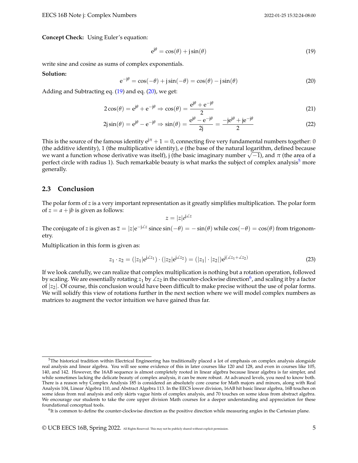**Concept Check:** Using Euler's equation:

<span id="page-4-0"></span>
$$
e^{j\theta} = \cos(\theta) + j\sin(\theta) \tag{19}
$$

write sine and cosine as sums of complex exponentials.

#### **Solution:**

<span id="page-4-1"></span>
$$
e^{-j\theta} = \cos(-\theta) + j\sin(-\theta) = \cos(\theta) - j\sin(\theta)
$$
\n(20)

Adding and Subtracting eq. [\(19\)](#page-4-0) and eq. [\(20\)](#page-4-1), we get:

$$
2\cos(\theta) = e^{j\theta} + e^{-j\theta} \Rightarrow \cos(\theta) = \frac{e^{j\theta} + e^{-j\theta}}{2}
$$
\n(21)

$$
2j\sin(\theta) = e^{j\theta} - e^{-j\theta} \Rightarrow \sin(\theta) = \frac{e^{j\theta} - e^{-j\theta}}{2j} = \frac{-je^{j\theta} + je^{-j\theta}}{2}
$$
(22)

This is the source of the famous identity  $e^{j\pi} + 1 = 0$ , connecting five very fundamental numbers together: 0 (the additive identity), 1 (the multiplicative identity), e (the base of the natural logarithm, defined because (the additive identity), 1 (the multiplicative identity), e (the base of the natural logarithm, defined because<br>we want a function whose derivative was itself), j (the basic imaginary number √−1), and π (the area of a perfect circle with radius 1). Such remarkable beauty is what marks the subject of complex analysis<sup>[5](#page-4-2)</sup> more generally.

#### **2.3 Conclusion**

The polar form of *z* is a very important representation as it greatly simplifies multiplication. The polar form of  $z = a + jb$  is given as follows:

$$
z = |z|e^{j\measuredangle z}
$$

The conjugate of *z* is given as  $\bar{z} = |z|e^{-j\Delta z}$  since  $\sin(-\theta) = -\sin(\theta)$  while  $\cos(-\theta) = \cos(\theta)$  from trigonometry.

Multiplication in this form is given as:

$$
z_1 \cdot z_2 = (|z_1|e^{j\angle z_1}) \cdot (|z_2|e^{j\angle z_2}) = (|z_1| \cdot |z_2|)e^{j(\angle z_1 + \angle z_2)}
$$
(23)

If we look carefully, we can realize that complex multiplication is nothing but a rotation operation, followed by scaling. We are essentially rotating  $z_1$  by  $\angle z_2$  in the counter-clockwise direction<sup>[6](#page-4-3)</sup>, and scaling it by a factor of  $|z_2|$ . Of course, this conclusion would have been difficult to make precise without the use of polar forms. We will solidfy this view of rotations further in the next section where we will model complex numbers as matrices to augment the vector intuition we have gained thus far.

<span id="page-4-2"></span> $5$ The historical tradition within Electrical Engineering has traditionally placed a lot of emphasis on complex analysis alongside real analysis and linear algebra. You will see some evidence of this in later courses like 120 and 128, and even in courses like 105, 140, and 142. However, the 16AB sequence is almost completely rooted in linear algebra because linear algebra is far simpler, and while sometimes lacking the delicate beauty of complex analysis, it can be more robust. At advanced levels, you need to know both. There is a reason why Complex Analysis 185 is considered an absolutely core course for Math majors and minors, along with Real Analysis 104, Linear Algebra 110, and Abstract Algebra 113. In the EECS lower division, 16AB hit basic linear algebra, 16B touches on some ideas from real analysis and only skirts vague hints of complex analysis, and 70 touches on some ideas from abstract algebra. We encourage our students to take the core upper division Math courses for a deeper understanding and appreciation for these foundational conceptual tools.

<span id="page-4-3"></span><sup>&</sup>lt;sup>6</sup>It is common to define the counter-clockwise direction as the positive direction while measuring angles in the Cartesian plane.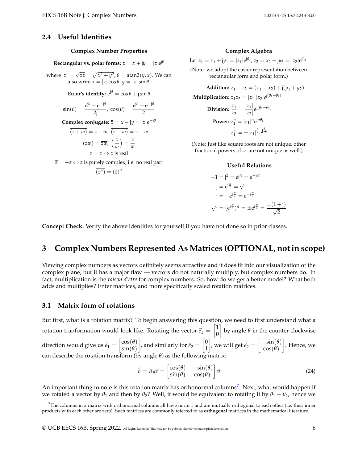## **2.4 Useful Identities**

#### **Complex Number Properties**

 $\textbf{Rectangular vs. polar forms: } z = x + \mathrm{j} y = |z| \mathrm{e}^{\mathrm{j} \theta}$ 

where  $|z| = \sqrt{z\overline{z}} = \sqrt{x^2 + y^2}$ ,  $\theta = \text{atan2}(y, x)$ . We can also write  $x = |z| \cos \theta$ ,  $y = |z| \sin \theta$ .

**Euler's identity:**  $e^{j\theta} = \cos \theta + j \sin \theta$ 

$$
\sin(\theta) = \frac{e^{j\theta} - e^{-j\theta}}{2j}, \ \cos(\theta) = \frac{e^{j\theta} + e^{-j\theta}}{2}
$$

**Complex conjugate:**  $\overline{z} = x - jy = |z|e^{-j\theta}$ 

$$
\overline{(z+w)} = \overline{z} + \overline{w}, \overline{(z-w)} = \overline{z} - \overline{w}
$$

$$
\overline{(zw)} = \overline{z}\overline{w}, \overline{\left(\frac{z}{w}\right)} = \frac{\overline{z}}{\overline{w}}
$$

$$
\overline{z} = z \Leftrightarrow z \text{ is real}
$$

 $\overline{z} = -z \Leftrightarrow z$  is purely complex, i.e. no real part

$$
\overline{(z^n)} = (\overline{z})^n
$$

### **Complex Algebra**

Let  $z_1 = x_1 + jy_1 = |z_1|e^{j\theta_1}, z_2 = x_2 + jy_2 = |z_2|e^{j\theta_2}.$ (Note: we adopt the easier representation between rectangular form and polar form.)

**Addition:**  $z_1 + z_2 = (x_1 + x_2) + i(y_1 + y_2)$  $\mathbf{Multiplication:} \ z_1 z_2 = |z_1||z_2|e^{\text{j}(\theta_1+\theta_2)}$ **Division:**  $\frac{z_1}{z_2} = \frac{|z_1|}{|z_2|}$  $\frac{|z_1|}{|z_2|}e^{j(\theta_1-\theta_2)}$ **Power:**  $z_1^n = |z_1|^n e^{jn\theta_1}$  $z_1^{\frac{1}{2}} = \pm |z_1|^{\frac{1}{2}} e^{j\frac{\theta_1}{2}}$ 

(Note: Just like square roots are not unique, other fractional powers of  $z_1$  are not unique as well.)

#### **Useful Relations**

$$
-1 = j2 = ej\pi = e-j\pi
$$
  
\n
$$
j = ej\frac{\pi}{2} = \sqrt{-1}
$$
  
\n
$$
-j = -ej\frac{\pi}{2} = e-j\frac{\pi}{2}
$$
  
\n
$$
\sqrt{j} = (ej\frac{\pi}{2})\frac{1}{2} = \pm ej\frac{\pi}{4} = \frac{\pm(1+j)}{\sqrt{2}}
$$

**Concept Check:** Verify the above identities for yourself if you have not done so in prior classes.

# **3 Complex Numbers Represented As Matrices (OPTIONAL, not in scope)**

Viewing complex numbers as vectors definitely seems attractive and it does fit into our visualization of the complex plane, but it has a major flaw — vectors do not naturally multiply, but complex numbers do. In fact, multiplication is the *raison d'etre* for complex numbers. So, how do we get a better model? What both adds and multiplies? Enter matrices, and more specifically scaled rotation matrices.

## **3.1 Matrix form of rotations**

But first, what is a rotation matrix? To begin answering this question, we need to first understand what a rotation tranformation would look like. Rotating the vector  $\vec{e}_1 = \begin{bmatrix} 1 & 0 \\ 0 & 1 \end{bmatrix}$ 0 by angle  $\theta$  in the counter clockwise direction would give us  $\vec{\tilde{e}}_1 = \begin{bmatrix} \cos(\theta) \\ \sin(\theta) \end{bmatrix}$ sin(*θ*) , and similarly for  $\vec{e}_2 = \begin{bmatrix} 0 \\ 1 \end{bmatrix}$ 1  $\left]$ , we will get  $\vec{\tilde{e}}_2 = \begin{bmatrix} -\sin(\theta) \\ \cos(\theta) \end{bmatrix}$ cos(*θ*) . Hence, we can describe the rotation transform (by angle  $\theta$ ) as the following matrix:

<span id="page-5-1"></span>
$$
\vec{\tilde{v}} = R_{\theta}\vec{v} = \begin{bmatrix} \cos(\theta) & -\sin(\theta) \\ \sin(\theta) & \cos(\theta) \end{bmatrix} \vec{v}
$$
 (24)

An important thing to note is this rotation matrix has orthonormal columns<sup>[7](#page-5-0)</sup>. Next, what would happen if we rotated a vector by  $\theta_1$  and then by  $\theta_2$ ? Well, it would be equivalent to rotating it by  $\theta_1 + \theta_2$ , hence we

© UCB EECS 16B, Spring 2022. All Rights Reserved. This may not be publicly shared without explicit permission. 6

<span id="page-5-0"></span> $7$ The columns in a matrix with orthonormal columns all have norm 1 and are mutually orthogonal to each other (i.e. their inner products with each other are zero). Such matrices are commonly referred to as **orthogonal** matrices in the mathematical literature.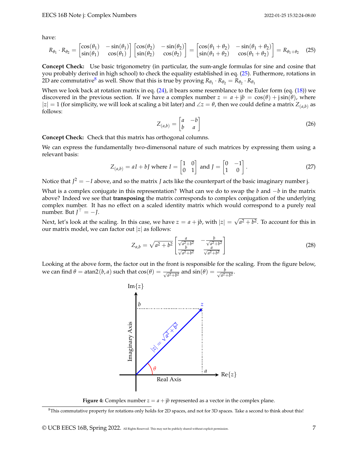have:

$$
R_{\theta_1} \cdot R_{\theta_2} = \begin{bmatrix} \cos(\theta_1) & -\sin(\theta_1) \\ \sin(\theta_1) & \cos(\theta_1) \end{bmatrix} \begin{bmatrix} \cos(\theta_2) & -\sin(\theta_2) \\ \sin(\theta_2) & \cos(\theta_2) \end{bmatrix} = \begin{bmatrix} \cos(\theta_1 + \theta_2) & -\sin(\theta_1 + \theta_2) \\ \sin(\theta_1 + \theta_2) & \cos(\theta_1 + \theta_2) \end{bmatrix} = R_{\theta_1 + \theta_2}
$$
(25)

**Concept Check:** Use basic trigonometry (in particular, the sum-angle formulas for sine and cosine that you probably derived in high school) to check the equality established in eq. [\(25\)](#page-6-0). Futhermore, rotations in  $2D$  are commutative<sup>[8](#page-6-1)</sup> as well. Show that this is true by proving  $R_{\theta_1} \cdot R_{\theta_2} = R_{\theta_2} \cdot R_{\theta_1}$ 

When we look back at rotation matrix in eq.  $(24)$ , it bears some resemblance to the Euler form (eq.  $(18)$ ) we discovered in the previous section. If we have a complex number  $z = a + jb = \cos(\theta) + j\sin(\theta)$ , where  $|z| = 1$  (for simplicity, we will look at scaling a bit later) and  $\angle z = \theta$ , then we could define a matrix  $Z_{(a,b)}$  as follows:

<span id="page-6-0"></span>
$$
Z_{(a,b)} = \begin{bmatrix} a & -b \\ b & a \end{bmatrix} \tag{26}
$$

**Concept Check:** Check that this matrix has orthogonal columns.

We can express the fundamentally two-dimensonal nature of such matrices by expressing them using a relevant basis:

$$
Z_{(a,b)} = aI + bJ \text{ where } I = \begin{bmatrix} 1 & 0 \\ 0 & 1 \end{bmatrix} \text{ and } J = \begin{bmatrix} 0 & -1 \\ 1 & 0 \end{bmatrix}.
$$
 (27)

Notice that  $J^2 = -I$  above, and so the matrix *J* acts like the counterpart of the basic imaginary number j.

What is a complex conjugate in this representation? What can we do to swap the *b* and −*b* in the matrix above? Indeed we see that **transposing** the matrix corresponds to complex conjugation of the underlying complex number. It has no effect on a scaled identity matrix which would correspond to a purely real number. But  $J^{\top} = -J$ . √

Next, let's look at the scaling. In this case, we have  $z = a + jb$ , with  $|z| =$  $a^2 + b^2$ . To account for this in our matrix model, we can factor out |*z*| as follows:

$$
Z_{a,b} = \sqrt{a^2 + b^2} \begin{bmatrix} \frac{a}{\sqrt{a^2 + b^2}} & -\frac{b}{\sqrt{a^2 + b^2}} \\ \frac{b}{\sqrt{a^2 + b^2}} & \frac{a}{\sqrt{a^2 + b^2}} \end{bmatrix}
$$
 (28)

Looking at the above form, the factor out in the front is responsible for the scaling. From the figure below, we can find  $θ = \text{atan2}(b, a)$  such that  $\cos(θ) = \frac{a}{\sqrt{a^2 + b^2}}$  and  $\sin(θ) = \frac{b}{\sqrt{a^2 + b^2}}$  $\frac{b}{a^2+b^2}$ .



**Figure 4:** Complex number  $z = a + ib$  represented as a vector in the complex plane.

<span id="page-6-1"></span> $8$ This commutative property for rotations only holds for 2D spaces, and not for 3D spaces. Take a second to think about this!